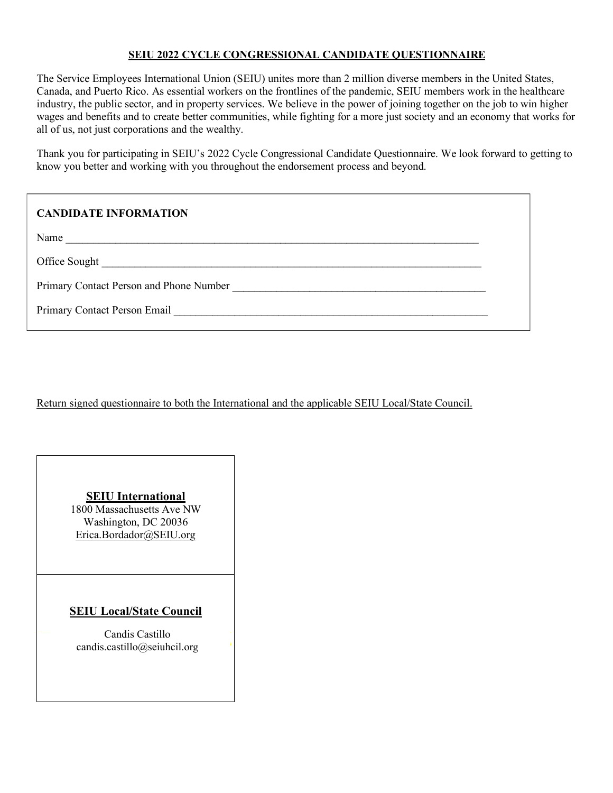# **SEIU 2022 CYCLE CONGRESSIONAL CANDIDATE QUESTIONNAIRE**

The Service Employees International Union (SEIU) unites more than 2 million diverse members in the United States, Canada, and Puerto Rico. As essential workers on the frontlines of the pandemic, SEIU members work in the healthcare industry, the public sector, and in property services. We believe in the power of joining together on the job to win higher wages and benefits and to create better communities, while fighting for a more just society and an economy that works for all of us, not just corporations and the wealthy.

Thank you for participating in SEIU's 2022 Cycle Congressional Candidate Questionnaire. We look forward to getting to know you better and working with you throughout the endorsement process and beyond.

# **CANDIDATE INFORMATION**

Name \_\_\_\_\_\_\_\_\_\_\_\_\_\_\_\_\_\_\_\_\_\_\_\_\_\_\_\_\_\_\_\_\_\_\_\_\_\_\_\_\_\_\_\_\_\_\_\_\_\_\_\_\_\_\_\_\_\_\_\_\_\_\_\_\_\_\_\_\_\_\_\_\_\_\_

Office Sought \_\_\_\_\_\_\_\_\_\_\_\_\_\_\_\_\_\_\_\_\_\_\_\_\_\_\_\_\_\_\_\_\_\_\_\_\_\_\_\_\_\_\_\_\_\_\_\_\_\_\_\_\_\_\_\_\_\_\_\_\_\_\_\_\_\_\_\_\_

Primary Contact Person and Phone Number \_\_\_\_\_\_\_\_\_\_\_\_\_\_\_\_\_\_\_\_\_\_\_\_\_\_\_\_\_\_\_\_\_\_\_\_\_\_\_\_\_\_\_\_\_\_

Primary Contact Person Email **Example 20** Final and  $\overline{P}$ 

Return signed questionnaire to both the International and the applicable SEIU Local/State Council.

## **SEIU International**

1800 Massachusetts Ave NW Washington, DC 20036 Erica.Bordador@SEIU.org

# **SEIU Local/State Council**

Candis Castillo<br>candis.castillo@seiuhcil.org Candis Castillo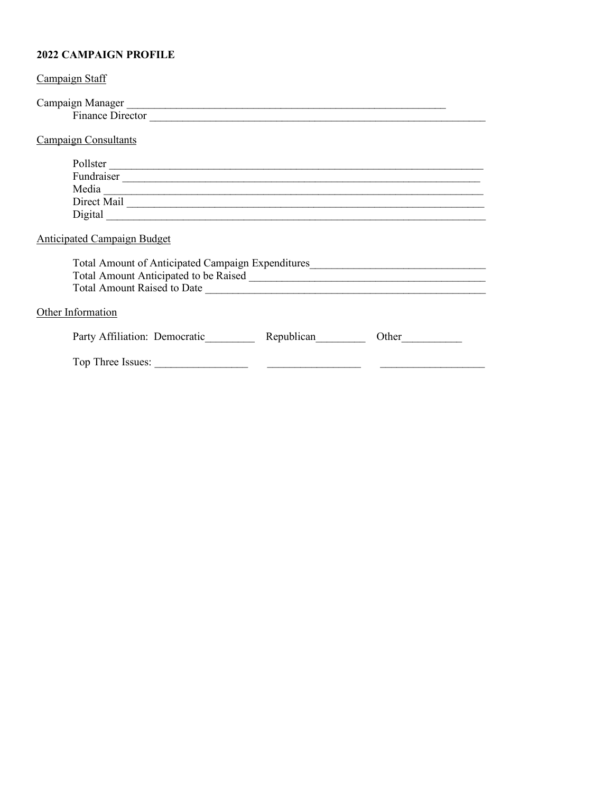# **2022 CAMPAIGN PROFILE**

| Campaign Staff                                                                                                                                                                   |  |
|----------------------------------------------------------------------------------------------------------------------------------------------------------------------------------|--|
| Campaign Manager<br><u>Leadenborne and the contract of the contract of the contract of the contract of the contract of the contract of</u><br>Finance Director <u>Contractor</u> |  |
| <b>Campaign Consultants</b>                                                                                                                                                      |  |
| Pollster                                                                                                                                                                         |  |
| <b>Anticipated Campaign Budget</b>                                                                                                                                               |  |
| Total Amount of Anticipated Campaign Expenditures________________________________                                                                                                |  |
| Other Information                                                                                                                                                                |  |
| Republican<br>Party Affiliation: Democratic<br>Other                                                                                                                             |  |
|                                                                                                                                                                                  |  |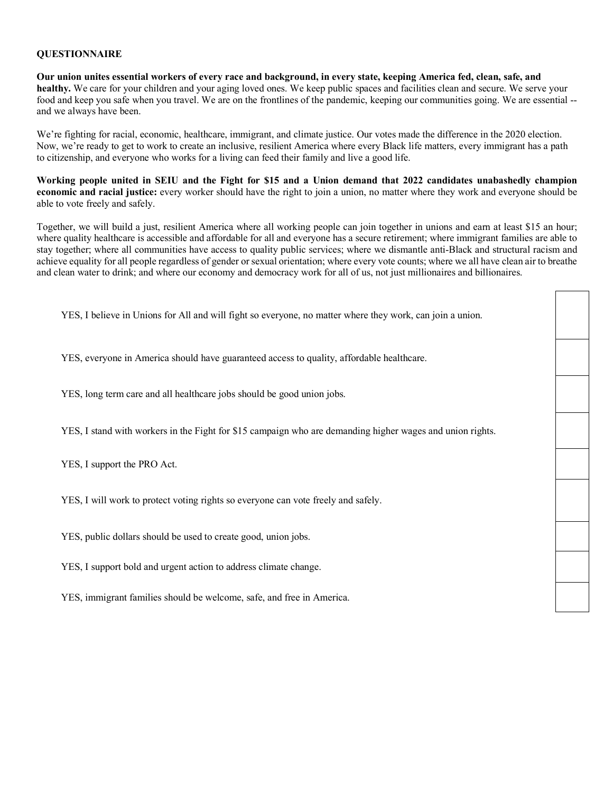#### **QUESTIONNAIRE**

**Our union unites essential workers of every race and background, in every state, keeping America fed, clean, safe, and healthy.** We care for your children and your aging loved ones. We keep public spaces and facilities clean and secure. We serve your food and keep you safe when you travel. We are on the frontlines of the pandemic, keeping our communities going. We are essential - and we always have been.

We're fighting for racial, economic, healthcare, immigrant, and climate justice. Our votes made the difference in the 2020 election. Now, we're ready to get to work to create an inclusive, resilient America where every Black life matters, every immigrant has a path to citizenship, and everyone who works for a living can feed their family and live a good life.

**Working people united in SEIU and the Fight for \$15 and a Union demand that 2022 candidates unabashedly champion economic and racial justice:** every worker should have the right to join a union, no matter where they work and everyone should be able to vote freely and safely.

Together, we will build a just, resilient America where all working people can join together in unions and earn at least \$15 an hour; where quality healthcare is accessible and affordable for all and everyone has a secure retirement; where immigrant families are able to stay together; where all communities have access to quality public services; where we dismantle anti-Black and structural racism and achieve equality for all people regardless of gender or sexual orientation; where every vote counts; where we all have clean air to breathe and clean water to drink; and where our economy and democracy work for all of us, not just millionaires and billionaires.

| YES, I believe in Unions for All and will fight so everyone, no matter where they work, can join a union. |  |
|-----------------------------------------------------------------------------------------------------------|--|
| YES, everyone in America should have guaranteed access to quality, affordable healthcare.                 |  |
| YES, long term care and all healthcare jobs should be good union jobs.                                    |  |
| YES, I stand with workers in the Fight for \$15 campaign who are demanding higher wages and union rights. |  |
| YES, I support the PRO Act.                                                                               |  |
| YES, I will work to protect voting rights so everyone can vote freely and safely.                         |  |
| YES, public dollars should be used to create good, union jobs.                                            |  |
| YES, I support bold and urgent action to address climate change.                                          |  |
| YES, immigrant families should be welcome, safe, and free in America.                                     |  |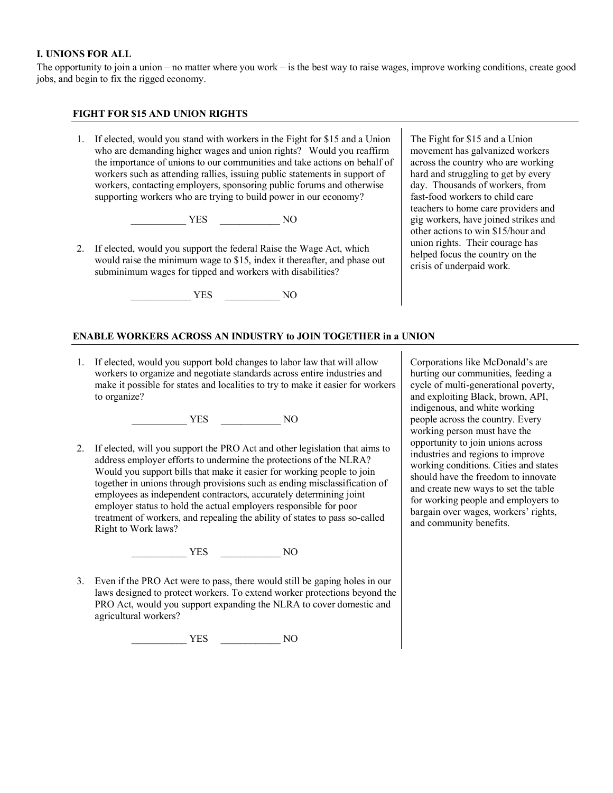## **I. UNIONS FOR ALL**

The opportunity to join a union – no matter where you work – is the best way to raise wages, improve working conditions, create good jobs, and begin to fix the rigged economy.

#### **FIGHT FOR \$15 AND UNION RIGHTS**

1. If elected, would you stand with workers in the Fight for \$15 and a Union who are demanding higher wages and union rights? Would you reaffirm the importance of unions to our communities and take actions on behalf of workers such as attending rallies, issuing public statements in support of workers, contacting employers, sponsoring public forums and otherwise supporting workers who are trying to build power in our economy?

\_\_\_\_\_\_\_\_\_\_\_ YES \_\_\_\_\_\_\_\_\_\_\_\_ NO

2. If elected, would you support the federal Raise the Wage Act, which would raise the minimum wage to \$15, index it thereafter, and phase out subminimum wages for tipped and workers with disabilities?

\_\_\_\_\_\_\_\_\_\_\_\_ YES \_\_\_\_\_\_\_\_\_\_\_ NO

The Fight for \$15 and a Union movement has galvanized workers across the country who are working hard and struggling to get by every day. Thousands of workers, from fast-food workers to child care teachers to home care providers and gig workers, have joined strikes and other actions to win \$15/hour and union rights. Their courage has helped focus the country on the crisis of underpaid work.

## **ENABLE WORKERS ACROSS AN INDUSTRY to JOIN TOGETHER in a UNION**

1. If elected, would you support bold changes to labor law that will allow workers to organize and negotiate standards across entire industries and make it possible for states and localities to try to make it easier for workers to organize?

\_\_\_\_\_\_\_\_\_\_\_ YES \_\_\_\_\_\_\_\_\_\_\_\_ NO

2. If elected, will you support the PRO Act and other legislation that aims to address employer efforts to undermine the protections of the NLRA? Would you support bills that make it easier for working people to join together in unions through provisions such as ending misclassification of employees as independent contractors, accurately determining joint employer status to hold the actual employers responsible for poor treatment of workers, and repealing the ability of states to pass so-called Right to Work laws?

\_\_\_\_\_\_\_\_\_\_\_ YES \_\_\_\_\_\_\_\_\_\_\_\_ NO

3. Even if the PRO Act were to pass, there would still be gaping holes in our laws designed to protect workers. To extend worker protections beyond the PRO Act, would you support expanding the NLRA to cover domestic and agricultural workers?

\_\_\_\_\_\_\_\_\_\_\_ YES \_\_\_\_\_\_\_\_\_\_\_\_ NO

Corporations like McDonald's are hurting our communities, feeding a cycle of multi-generational poverty, and exploiting Black, brown, API, indigenous, and white working people across the country. Every working person must have the opportunity to join unions across industries and regions to improve working conditions. Cities and states should have the freedom to innovate and create new ways to set the table for working people and employers to bargain over wages, workers' rights, and community benefits.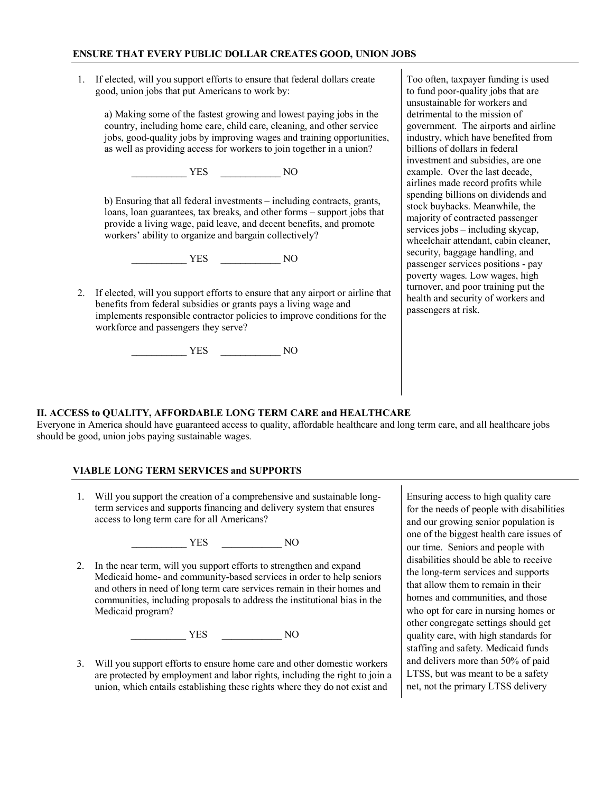1. If elected, will you support efforts to ensure that federal dollars create good, union jobs that put Americans to work by:

a) Making some of the fastest growing and lowest paying jobs in the country, including home care, child care, cleaning, and other service jobs, good-quality jobs by improving wages and training opportunities, as well as providing access for workers to join together in a union?

\_\_\_\_\_\_\_\_\_\_\_ YES \_\_\_\_\_\_\_\_\_\_\_\_ NO

b) Ensuring that all federal investments – including contracts, grants, loans, loan guarantees, tax breaks, and other forms – support jobs that provide a living wage, paid leave, and decent benefits, and promote workers' ability to organize and bargain collectively?

\_\_\_\_\_\_\_\_\_\_\_ YES \_\_\_\_\_\_\_\_\_\_\_\_ NO

2. If elected, will you support efforts to ensure that any airport or airline that benefits from federal subsidies or grants pays a living wage and implements responsible contractor policies to improve conditions for the workforce and passengers they serve?

\_\_\_\_\_\_\_\_\_\_\_ YES \_\_\_\_\_\_\_\_\_\_\_\_ NO

#### Too often, taxpayer funding is used to fund poor-quality jobs that are unsustainable for workers and detrimental to the mission of government. The airports and airline industry, which have benefited from billions of dollars in federal investment and subsidies, are one example. Over the last decade, airlines made record profits while spending billions on dividends and stock buybacks. Meanwhile, the majority of contracted passenger services jobs – including skycap, wheelchair attendant, cabin cleaner, security, baggage handling, and passenger services positions - pay poverty wages. Low wages, high turnover, and poor training put the health and security of workers and passengers at risk.

## **II. ACCESS to QUALITY, AFFORDABLE LONG TERM CARE and HEALTHCARE**

Everyone in America should have guaranteed access to quality, affordable healthcare and long term care, and all healthcare jobs should be good, union jobs paying sustainable wages.

## **VIABLE LONG TERM SERVICES and SUPPORTS**

1. Will you support the creation of a comprehensive and sustainable longterm services and supports financing and delivery system that ensures access to long term care for all Americans?

\_\_\_\_\_\_\_\_\_\_\_ YES \_\_\_\_\_\_\_\_\_\_\_\_ NO

2. In the near term, will you support efforts to strengthen and expand Medicaid home- and community-based services in order to help seniors and others in need of long term care services remain in their homes and communities, including proposals to address the institutional bias in the Medicaid program?

\_\_\_\_\_\_\_\_\_\_\_ YES \_\_\_\_\_\_\_\_\_\_\_\_ NO

3. Will you support efforts to ensure home care and other domestic workers are protected by employment and labor rights, including the right to join a union, which entails establishing these rights where they do not exist and

Ensuring access to high quality care for the needs of people with disabilities and our growing senior population is one of the biggest health care issues of our time. Seniors and people with disabilities should be able to receive the long-term services and supports that allow them to remain in their homes and communities, and those who opt for care in nursing homes or other congregate settings should get quality care, with high standards for staffing and safety. Medicaid funds and delivers more than 50% of paid LTSS, but was meant to be a safety net, not the primary LTSS delivery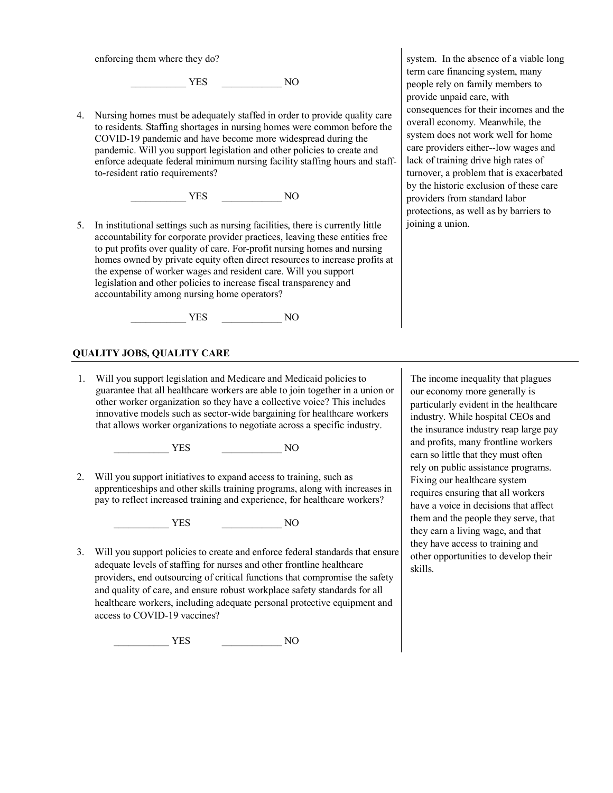enforcing them where they do?

\_\_\_\_\_\_\_\_\_\_\_ YES \_\_\_\_\_\_\_\_\_\_\_\_ NO

4. Nursing homes must be adequately staffed in order to provide quality care to residents. Staffing shortages in nursing homes were common before the COVID-19 pandemic and have become more widespread during the pandemic. Will you support legislation and other policies to create and enforce adequate federal minimum nursing facility staffing hours and staffto-resident ratio requirements?

\_\_\_\_\_\_\_\_\_\_\_ YES \_\_\_\_\_\_\_\_\_\_\_\_ NO

5. In institutional settings such as nursing facilities, there is currently little accountability for corporate provider practices, leaving these entities free to put profits over quality of care. For-profit nursing homes and nursing homes owned by private equity often direct resources to increase profits at the expense of worker wages and resident care. Will you support legislation and other policies to increase fiscal transparency and accountability among nursing home operators?

\_\_\_\_\_\_\_\_\_\_\_ YES \_\_\_\_\_\_\_\_\_\_\_\_ NO

## **QUALITY JOBS, QUALITY CARE**

1. Will you support legislation and Medicare and Medicaid policies to guarantee that all healthcare workers are able to join together in a union or other worker organization so they have a collective voice? This includes innovative models such as sector-wide bargaining for healthcare workers that allows worker organizations to negotiate across a specific industry.

\_\_\_\_\_\_\_\_\_\_\_ YES \_\_\_\_\_\_\_\_\_\_\_\_ NO

2. Will you support initiatives to expand access to training, such as apprenticeships and other skills training programs, along with increases in pay to reflect increased training and experience, for healthcare workers?

\_\_\_\_\_\_\_\_\_\_\_ YES \_\_\_\_\_\_\_\_\_\_\_\_ NO

3. Will you support policies to create and enforce federal standards that ensure adequate levels of staffing for nurses and other frontline healthcare providers, end outsourcing of critical functions that compromise the safety and quality of care, and ensure robust workplace safety standards for all healthcare workers, including adequate personal protective equipment and access to COVID-19 vaccines?

\_\_\_\_\_\_\_\_\_\_\_ YES \_\_\_\_\_\_\_\_\_\_\_\_ NO

system. In the absence of a viable long term care financing system, many people rely on family members to provide unpaid care, with consequences for their incomes and the overall economy. Meanwhile, the system does not work well for home care providers either--low wages and lack of training drive high rates of turnover, a problem that is exacerbated by the historic exclusion of these care providers from standard labor protections, as well as by barriers to joining a union.

The income inequality that plagues our economy more generally is particularly evident in the healthcare industry. While hospital CEOs and the insurance industry reap large pay and profits, many frontline workers earn so little that they must often rely on public assistance programs. Fixing our healthcare system requires ensuring that all workers have a voice in decisions that affect them and the people they serve, that they earn a living wage, and that they have access to training and other opportunities to develop their skills.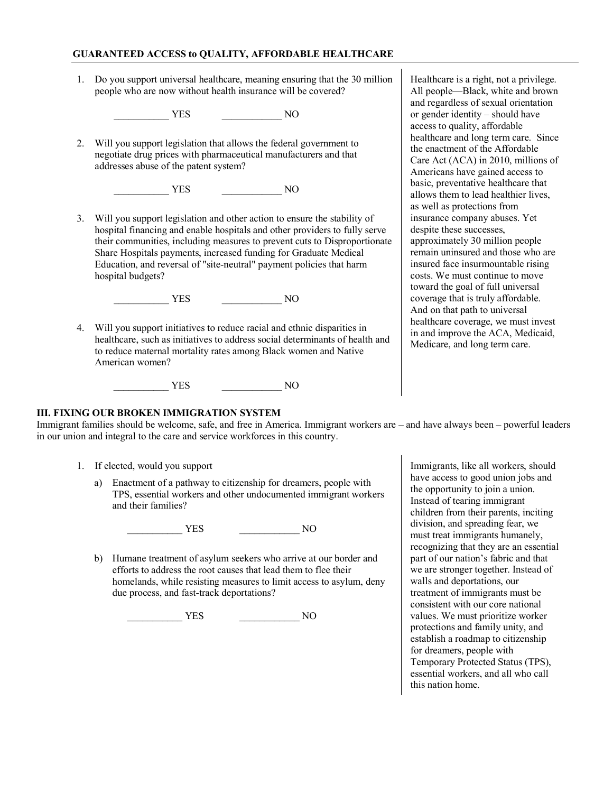#### **GUARANTEED ACCESS to QUALITY, AFFORDABLE HEALTHCARE**

1. Do you support universal healthcare, meaning ensuring that the 30 million people who are now without health insurance will be covered?

\_\_\_\_\_\_\_\_\_\_\_ YES \_\_\_\_\_\_\_\_\_\_\_\_ NO

2. Will you support legislation that allows the federal government to negotiate drug prices with pharmaceutical manufacturers and that addresses abuse of the patent system?

\_\_\_\_\_\_\_\_\_\_\_ YES \_\_\_\_\_\_\_\_\_\_\_\_ NO

3. Will you support legislation and other action to ensure the stability of hospital financing and enable hospitals and other providers to fully serve their communities, including measures to prevent cuts to Disproportionate Share Hospitals payments, increased funding for Graduate Medical Education, and reversal of "site-neutral" payment policies that harm hospital budgets?

\_\_\_\_\_\_\_\_\_\_\_ YES \_\_\_\_\_\_\_\_\_\_\_\_ NO

4. Will you support initiatives to reduce racial and ethnic disparities in healthcare, such as initiatives to address social determinants of health and to reduce maternal mortality rates among Black women and Native American women?

\_\_\_\_\_\_\_\_\_\_\_ YES \_\_\_\_\_\_\_\_\_\_\_\_ NO

Healthcare is a right, not a privilege. All people—Black, white and brown and regardless of sexual orientation or gender identity – should have access to quality, affordable healthcare and long term care. Since the enactment of the Affordable Care Act (ACA) in 2010, millions of Americans have gained access to basic, preventative healthcare that allows them to lead healthier lives, as well as protections from insurance company abuses. Yet despite these successes, approximately 30 million people remain uninsured and those who are insured face insurmountable rising costs. We must continue to move toward the goal of full universal coverage that is truly affordable. And on that path to universal healthcare coverage, we must invest in and improve the ACA, Medicaid, Medicare, and long term care.

## **III. FIXING OUR BROKEN IMMIGRATION SYSTEM**

Immigrant families should be welcome, safe, and free in America. Immigrant workers are – and have always been – powerful leaders in our union and integral to the care and service workforces in this country.

- 1. If elected, would you support
	- a) Enactment of a pathway to citizenship for dreamers, people with TPS, essential workers and other undocumented immigrant workers and their families?

\_\_\_\_\_\_\_\_\_\_\_ YES \_\_\_\_\_\_\_\_\_\_\_\_ NO

b) Humane treatment of asylum seekers who arrive at our border and efforts to address the root causes that lead them to flee their homelands, while resisting measures to limit access to asylum, deny due process, and fast-track deportations?

\_\_\_\_\_\_\_\_\_\_\_ YES \_\_\_\_\_\_\_\_\_\_\_\_ NO

Immigrants, like all workers, should have access to good union jobs and the opportunity to join a union. Instead of tearing immigrant children from their parents, inciting division, and spreading fear, we must treat immigrants humanely, recognizing that they are an essential part of our nation's fabric and that we are stronger together. Instead of walls and deportations, our treatment of immigrants must be consistent with our core national values. We must prioritize worker protections and family unity, and establish a roadmap to citizenship for dreamers, people with Temporary Protected Status (TPS), essential workers, and all who call this nation home.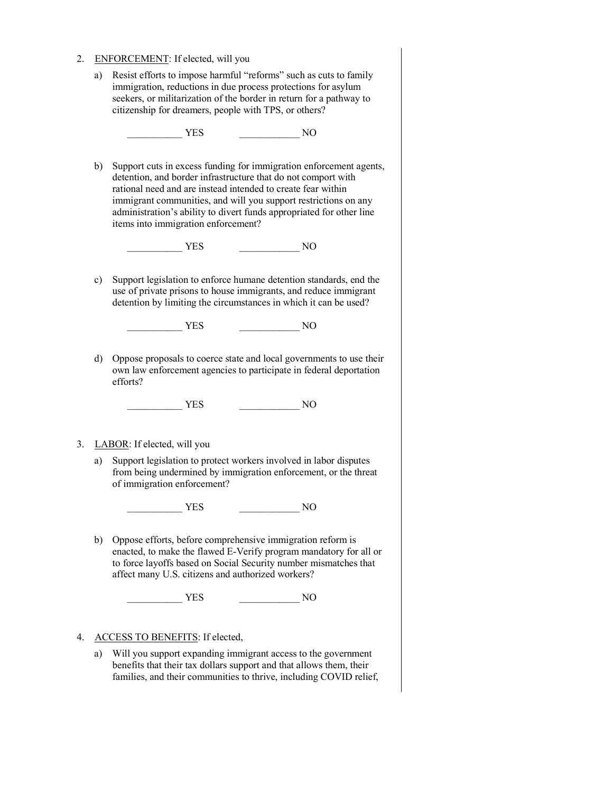- 2. ENFORCEMENT: If elected, will you
	- a) Resist efforts to impose harmful "reforms" such as cuts to family immigration, reductions in due process protections for asylum seekers, or militarization of the border in return for a pathway to citizenship for dreamers, people with TPS, or others?

\_\_\_\_\_\_\_\_\_\_\_ YES \_\_\_\_\_\_\_\_\_\_\_\_ NO

b) Support cuts in excess funding for immigration enforcement agents, detention, and border infrastructure that do not comport with rational need and are instead intended to create fear within immigrant communities, and will you support restrictions on any administration's ability to divert funds appropriated for other line items into immigration enforcement?

 $YES$  NO

c) Support legislation to enforce humane detention standards, end the use of private prisons to house immigrants, and reduce immigrant detention by limiting the circumstances in which it can be used?

\_\_\_\_\_\_\_\_\_\_\_ YES \_\_\_\_\_\_\_\_\_\_\_\_ NO

d) Oppose proposals to coerce state and local governments to use their own law enforcement agencies to participate in federal deportation efforts?

\_\_\_\_\_\_\_\_\_\_\_ YES \_\_\_\_\_\_\_\_\_\_\_\_ NO

## 3. LABOR: If elected, will you

a) Support legislation to protect workers involved in labor disputes from being undermined by immigration enforcement, or the threat of immigration enforcement?

\_\_\_\_\_\_\_\_\_\_\_ YES \_\_\_\_\_\_\_\_\_\_\_\_ NO

b) Oppose efforts, before comprehensive immigration reform is enacted, to make the flawed E-Verify program mandatory for all or to force layoffs based on Social Security number mismatches that affect many U.S. citizens and authorized workers?

\_\_\_\_\_\_\_\_\_\_\_ YES \_\_\_\_\_\_\_\_\_\_\_\_ NO

## 4. ACCESS TO BENEFITS: If elected,

a) Will you support expanding immigrant access to the government benefits that their tax dollars support and that allows them, their families, and their communities to thrive, including COVID relief,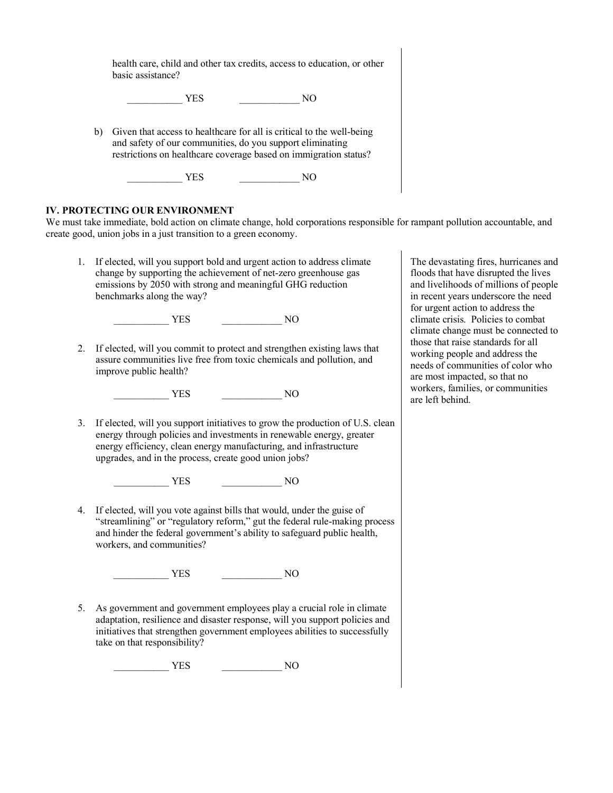health care, child and other tax credits, access to education, or other basic assistance?

 $YES$  NO

b) Given that access to healthcare for all is critical to the well-being and safety of our communities, do you support eliminating restrictions on healthcare coverage based on immigration status?

\_\_\_\_\_\_\_\_\_\_\_ YES \_\_\_\_\_\_\_\_\_\_\_\_ NO

## **IV. PROTECTING OUR ENVIRONMENT**

We must take immediate, bold action on climate change, hold corporations responsible for rampant pollution accountable, and create good, union jobs in a just transition to a green economy.

1. If elected, will you support bold and urgent action to address climate change by supporting the achievement of net-zero greenhouse gas emissions by 2050 with strong and meaningful GHG reduction benchmarks along the way?

\_\_\_\_\_\_\_\_\_\_\_ YES \_\_\_\_\_\_\_\_\_\_\_\_ NO

2. If elected, will you commit to protect and strengthen existing laws that assure communities live free from toxic chemicals and pollution, and improve public health?

\_\_\_\_\_\_\_\_\_\_\_ YES \_\_\_\_\_\_\_\_\_\_\_\_ NO

3. If elected, will you support initiatives to grow the production of U.S. clean energy through policies and investments in renewable energy, greater energy efficiency, clean energy manufacturing, and infrastructure upgrades, and in the process, create good union jobs?

\_\_\_\_\_\_\_\_\_\_\_ YES \_\_\_\_\_\_\_\_\_\_\_\_ NO

4. If elected, will you vote against bills that would, under the guise of "streamlining" or "regulatory reform," gut the federal rule-making process and hinder the federal government's ability to safeguard public health, workers, and communities?

\_\_\_\_\_\_\_\_\_\_\_ YES \_\_\_\_\_\_\_\_\_\_\_\_ NO

5. As government and government employees play a crucial role in climate adaptation, resilience and disaster response, will you support policies and initiatives that strengthen government employees abilities to successfully take on that responsibility?

\_\_\_\_\_\_\_\_\_\_\_ YES \_\_\_\_\_\_\_\_\_\_\_\_ NO

The devastating fires, hurricanes and floods that have disrupted the lives and livelihoods of millions of people in recent years underscore the need for urgent action to address the climate crisis. Policies to combat climate change must be connected to those that raise standards for all working people and address the needs of communities of color who are most impacted, so that no workers, families, or communities are left behind.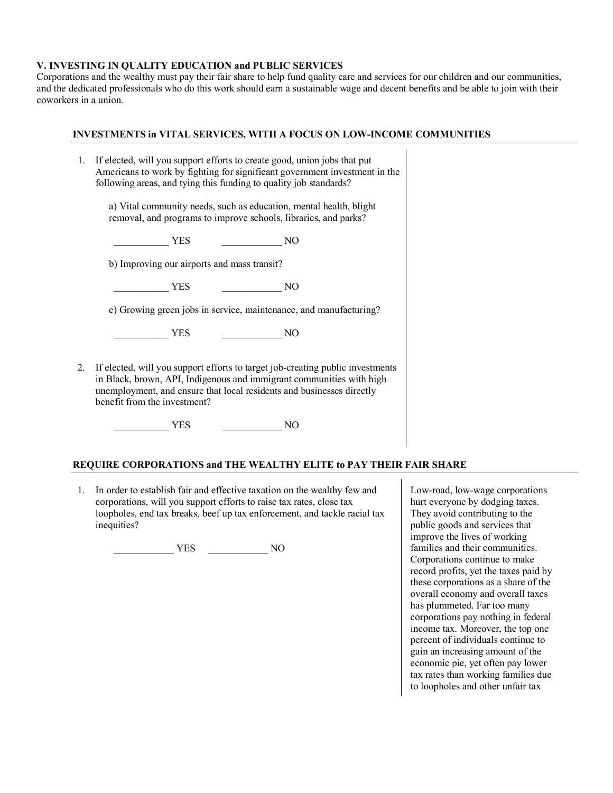## **V. INVESTING IN QUALITY EDUCATION and PUBLIC SERVICES**

Corporations and the wealthy must pay their fair share to help fund quality care and services for our children and our communities, and the dedicated professionals who do this work should earn a sustainable wage and decent benefits and be able to join with their coworkers in a union.

 $\mathbf{I}$ 

#### **INVESTMENTS in VITAL SERVICES, WITH A FOCUS ON LOW-INCOME COMMUNITIES**

| 1. | If elected, will you support efforts to create good, union jobs that put<br>Americans to work by fighting for significant government investment in the<br>following areas, and tying this funding to quality job standards?                                     |
|----|-----------------------------------------------------------------------------------------------------------------------------------------------------------------------------------------------------------------------------------------------------------------|
|    | a) Vital community needs, such as education, mental health, blight<br>removal, and programs to improve schools, libraries, and parks?                                                                                                                           |
|    | YES<br>NO<br>$\mathcal{L}^{\mathcal{L}}(\mathcal{L}^{\mathcal{L}})$ and $\mathcal{L}^{\mathcal{L}}(\mathcal{L}^{\mathcal{L}})$ . Then                                                                                                                           |
|    | b) Improving our airports and mass transit?                                                                                                                                                                                                                     |
|    | YES<br>NO                                                                                                                                                                                                                                                       |
|    | c) Growing green jobs in service, maintenance, and manufacturing?                                                                                                                                                                                               |
|    | YES<br>NO                                                                                                                                                                                                                                                       |
| 2. | If elected, will you support efforts to target job-creating public investments<br>in Black, brown, API, Indigenous and immigrant communities with high<br>unemployment, and ensure that local residents and businesses directly<br>benefit from the investment? |
|    | YES<br>NO                                                                                                                                                                                                                                                       |

#### **REQUIRE CORPORATIONS and THE WEALTHY ELITE to PAY THEIR FAIR SHARE**

1. In order to establish fair and effective taxation on the wealthy few and corporations, will you support efforts to raise tax rates, close tax loopholes, end tax breaks, beef up tax enforcement, and tackle racial tax inequities?

\_\_\_\_\_\_\_\_\_\_\_\_ YES \_\_\_\_\_\_\_\_\_\_\_\_ NO

Low-road, low-wage corporations hurt everyone by dodging taxes. They avoid contributing to the public goods and services that improve the lives of working families and their communities. Corporations continue to make record profits, yet the taxes paid by these corporations as a share of the overall economy and overall taxes has plummeted. Far too many corporations pay nothing in federal income tax. Moreover, the top one percent of individuals continue to gain an increasing amount of the economic pie, yet often pay lower tax rates than working families due to loopholes and other unfair tax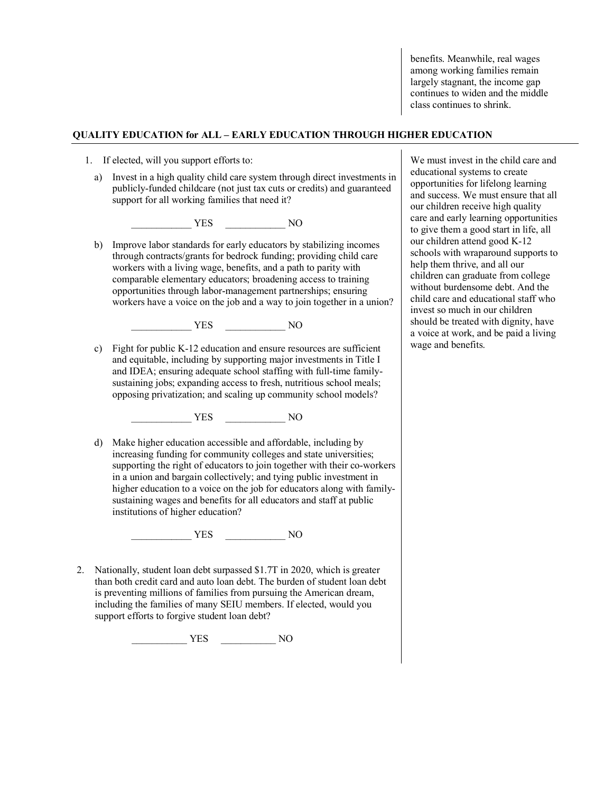benefits. Meanwhile, real wages among working families remain largely stagnant, the income gap continues to widen and the middle class continues to shrink.

#### **QUALITY EDUCATION for ALL – EARLY EDUCATION THROUGH HIGHER EDUCATION**

- 1. If elected, will you support efforts to:
	- a) Invest in a high quality child care system through direct investments in publicly-funded childcare (not just tax cuts or credits) and guaranteed support for all working families that need it?

\_\_\_\_\_\_\_\_\_\_\_\_ YES \_\_\_\_\_\_\_\_\_\_\_\_ NO

b) Improve labor standards for early educators by stabilizing incomes through contracts/grants for bedrock funding; providing child care workers with a living wage, benefits, and a path to parity with comparable elementary educators; broadening access to training opportunities through labor-management partnerships; ensuring workers have a voice on the job and a way to join together in a union?

\_\_\_\_\_\_\_\_\_\_\_\_ YES \_\_\_\_\_\_\_\_\_\_\_\_ NO

c) Fight for public K-12 education and ensure resources are sufficient and equitable, including by supporting major investments in Title I and IDEA; ensuring adequate school staffing with full-time familysustaining jobs; expanding access to fresh, nutritious school meals; opposing privatization; and scaling up community school models?

\_\_\_\_\_\_\_\_\_\_\_\_ YES \_\_\_\_\_\_\_\_\_\_\_\_ NO

d) Make higher education accessible and affordable, including by increasing funding for community colleges and state universities; supporting the right of educators to join together with their co-workers in a union and bargain collectively; and tying public investment in higher education to a voice on the job for educators along with familysustaining wages and benefits for all educators and staff at public institutions of higher education?

\_\_\_\_\_\_\_\_\_\_\_\_ YES \_\_\_\_\_\_\_\_\_\_\_\_ NO

2. Nationally, student loan debt surpassed \$1.7T in 2020, which is greater than both credit card and auto loan debt. The burden of student loan debt is preventing millions of families from pursuing the American dream, including the families of many SEIU members. If elected, would you support efforts to forgive student loan debt?

\_\_\_\_\_\_\_\_\_\_\_ YES \_\_\_\_\_\_\_\_\_\_\_ NO

We must invest in the child care and educational systems to create opportunities for lifelong learning and success. We must ensure that all our children receive high quality care and early learning opportunities to give them a good start in life, all our children attend good K-12 schools with wraparound supports to help them thrive, and all our children can graduate from college without burdensome debt. And the child care and educational staff who invest so much in our children should be treated with dignity, have a voice at work, and be paid a living wage and benefits.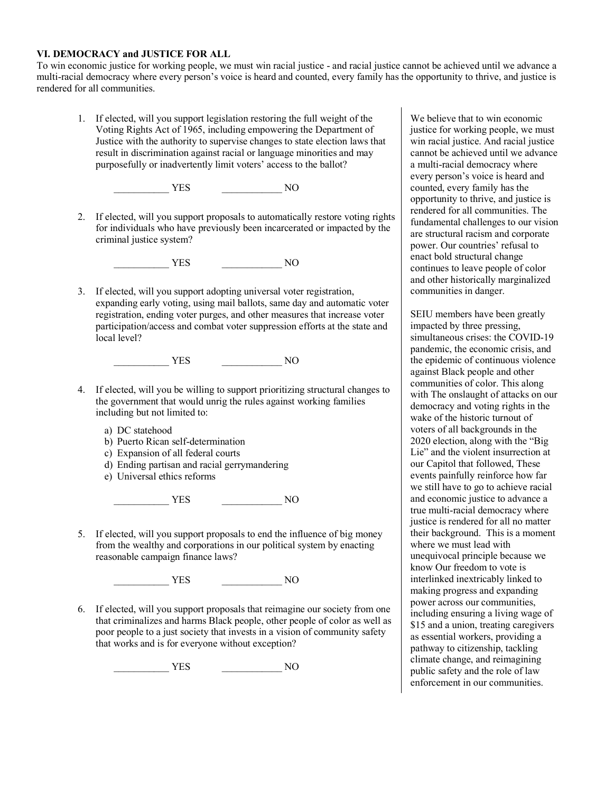#### **VI. DEMOCRACY and JUSTICE FOR ALL**

To win economic justice for working people, we must win racial justice - and racial justice cannot be achieved until we advance a multi-racial democracy where every person's voice is heard and counted, every family has the opportunity to thrive, and justice is rendered for all communities.

1. If elected, will you support legislation restoring the full weight of the Voting Rights Act of 1965, including empowering the Department of Justice with the authority to supervise changes to state election laws that result in discrimination against racial or language minorities and may purposefully or inadvertently limit voters' access to the ballot?

\_\_\_\_\_\_\_\_\_\_\_ YES \_\_\_\_\_\_\_\_\_\_\_\_ NO

2. If elected, will you support proposals to automatically restore voting rights for individuals who have previously been incarcerated or impacted by the criminal justice system?

\_\_\_\_\_\_\_\_\_\_\_ YES \_\_\_\_\_\_\_\_\_\_\_\_ NO

3. If elected, will you support adopting universal voter registration, expanding early voting, using mail ballots, same day and automatic voter registration, ending voter purges, and other measures that increase voter participation/access and combat voter suppression efforts at the state and local level?

\_\_\_\_\_\_\_\_\_\_\_ YES \_\_\_\_\_\_\_\_\_\_\_\_ NO

- 4. If elected, will you be willing to support prioritizing structural changes to the government that would unrig the rules against working families including but not limited to:
	- a) DC statehood
	- b) Puerto Rican self-determination
	- c) Expansion of all federal courts
	- d) Ending partisan and racial gerrymandering
	- e) Universal ethics reforms

\_\_\_\_\_\_\_\_\_\_\_ YES \_\_\_\_\_\_\_\_\_\_\_\_ NO

5. If elected, will you support proposals to end the influence of big money from the wealthy and corporations in our political system by enacting reasonable campaign finance laws?

\_\_\_\_\_\_\_\_\_\_\_ YES \_\_\_\_\_\_\_\_\_\_\_\_ NO

6. If elected, will you support proposals that reimagine our society from one that criminalizes and harms Black people, other people of color as well as poor people to a just society that invests in a vision of community safety that works and is for everyone without exception?

\_\_\_\_\_\_\_\_\_\_\_ YES \_\_\_\_\_\_\_\_\_\_\_\_ NO

We believe that to win economic justice for working people, we must win racial justice. And racial justice cannot be achieved until we advance a multi-racial democracy where every person's voice is heard and counted, every family has the opportunity to thrive, and justice is rendered for all communities. The fundamental challenges to our vision are structural racism and corporate power. Our countries' refusal to enact bold structural change continues to leave people of color and other historically marginalized communities in danger.

SEIU members have been greatly impacted by three pressing, simultaneous crises: the COVID-19 pandemic, the economic crisis, and the epidemic of continuous violence against Black people and other communities of color. This along with The onslaught of attacks on our democracy and voting rights in the wake of the historic turnout of voters of all backgrounds in the 2020 election, along with the "Big Lie" and the violent insurrection at our Capitol that followed, These events painfully reinforce how far we still have to go to achieve racial and economic justice to advance a true multi-racial democracy where justice is rendered for all no matter their background. This is a moment where we must lead with unequivocal principle because we know Our freedom to vote is interlinked inextricably linked to making progress and expanding power across our communities, including ensuring a living wage of \$15 and a union, treating caregivers as essential workers, providing a pathway to citizenship, tackling climate change, and reimagining public safety and the role of law enforcement in our communities.